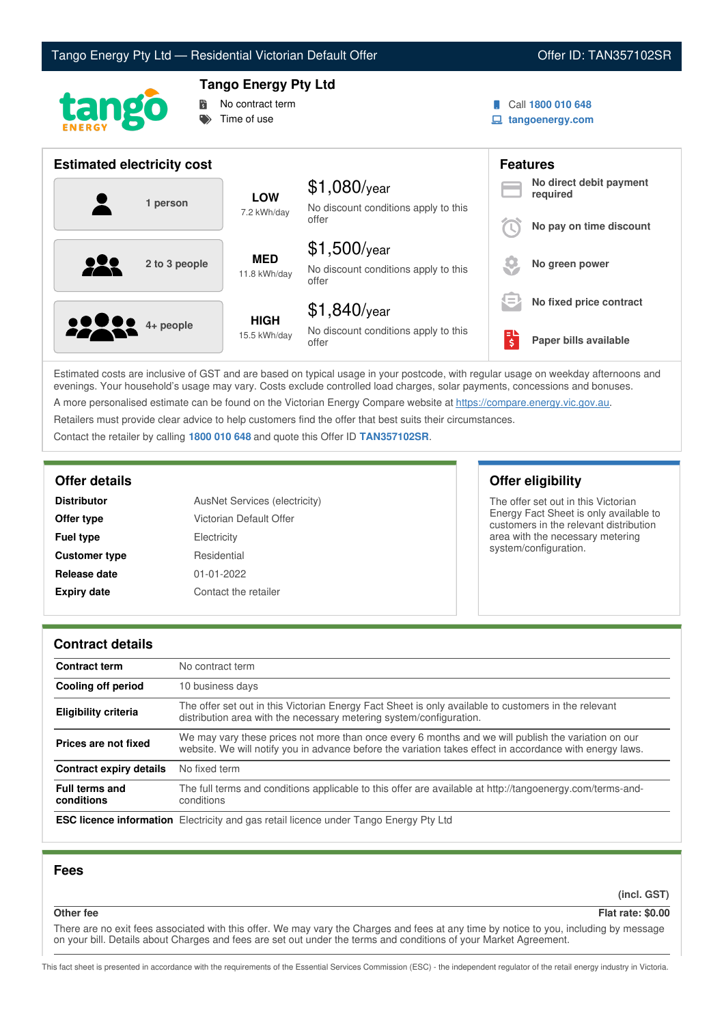



# **Tango Energy Pty Ltd**

No contract term Time of use

Call **1800 010 648**

**tangoenergy.com**

| <b>Estimated electricity cost</b> |                             |                                                                 | <b>Features</b>                              |                                     |
|-----------------------------------|-----------------------------|-----------------------------------------------------------------|----------------------------------------------|-------------------------------------|
| 1 person                          | <b>LOW</b><br>7.2 kWh/day   | $$1,080$ /year<br>No discount conditions apply to this          |                                              | No direct debit payment<br>required |
|                                   |                             | offer                                                           |                                              | No pay on time discount             |
| 2 to 3 people                     | <b>MED</b><br>11.8 kWh/day  | $$1,500$ /year<br>No discount conditions apply to this<br>offer |                                              | No green power                      |
|                                   |                             | $$1,840$ /year                                                  | $\overline{\phantom{a}}$<br>$\hspace{0.1mm}$ | No fixed price contract             |
| <b>10000</b> 4+ people            | <b>HIGH</b><br>15.5 kWh/day | No discount conditions apply to this<br>offer                   | ЕΙ<br>$\overline{\boldsymbol{\xi}}$          | Paper bills available               |

Estimated costs are inclusive of GST and are based on typical usage in your postcode, with regular usage on weekday afternoons and evenings. Your household's usage may vary. Costs exclude controlled load charges, solar payments, concessions and bonuses. A more personalised estimate can be found on the Victorian Energy Compare website at <https://compare.energy.vic.gov.au>.

Retailers must provide clear advice to help customers find the offer that best suits their circumstances.

Contact the retailer by calling **1800 010 648** and quote this Offer ID **TAN357102SR**.

| <b>Distributor</b>   | AusNet Services (electricity) |
|----------------------|-------------------------------|
| Offer type           | Victorian Default Offer       |
| <b>Fuel type</b>     | Electricity                   |
| <b>Customer type</b> | Residential                   |
| Release date         | $01 - 01 - 2022$              |
| <b>Expiry date</b>   | Contact the retailer          |

# **Offer details Offer eligibility**

The offer set out in this Victorian Energy Fact Sheet is only available to customers in the relevant distribution area with the necessary metering system/configuration.

# **Contract details**

| Contract term                       | No contract term                                                                                                                                                                                                |
|-------------------------------------|-----------------------------------------------------------------------------------------------------------------------------------------------------------------------------------------------------------------|
| Cooling off period                  | 10 business days                                                                                                                                                                                                |
| Eligibility criteria                | The offer set out in this Victorian Energy Fact Sheet is only available to customers in the relevant<br>distribution area with the necessary metering system/configuration.                                     |
| Prices are not fixed                | We may vary these prices not more than once every 6 months and we will publish the variation on our<br>website. We will notify you in advance before the variation takes effect in accordance with energy laws. |
| <b>Contract expiry details</b>      | No fixed term                                                                                                                                                                                                   |
| <b>Full terms and</b><br>conditions | The full terms and conditions applicable to this offer are available at http://tangoenergy.com/terms-and-<br>conditions                                                                                         |
|                                     | <b>ESC licence information</b> Electricity and gas retail licence under Tango Energy Pty Ltd                                                                                                                    |

# **Fees**

**(incl. GST)**

# **Other fee Flat rate: \$0.00**

There are no exit fees associated with this offer. We may vary the Charges and fees at any time by notice to you, including by message on your bill. Details about Charges and fees are set out under the terms and conditions of your Market Agreement.

This fact sheet is presented in accordance with the requirements of the Essential Services Commission (ESC) - the independent regulator of the retail energy industry in Victoria.